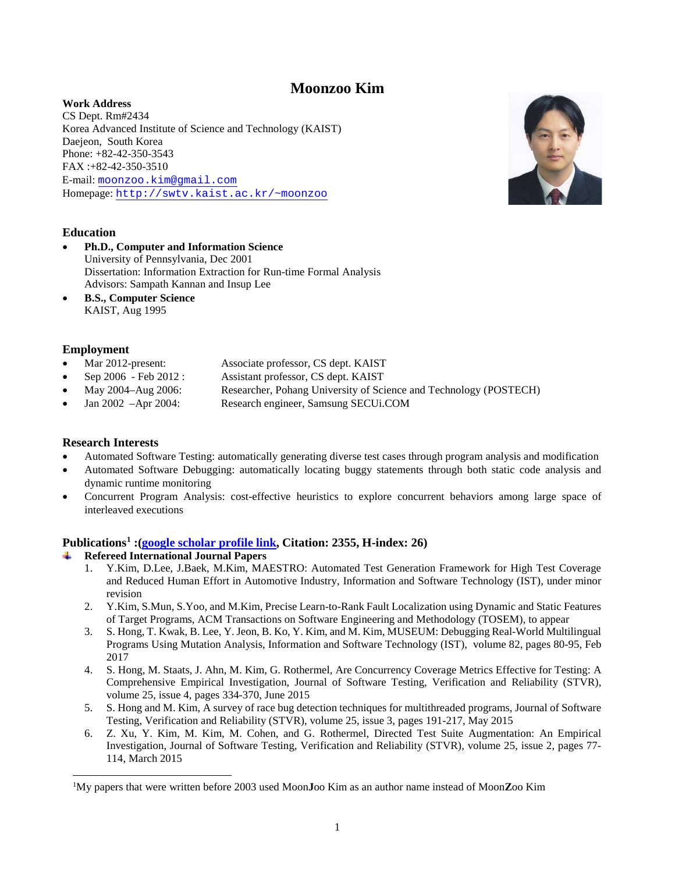# **Moonzoo Kim**

**Work Address** CS Dept. Rm#2434 Korea Advanced Institute of Science and Technology (KAIST) Daejeon, South Korea Phone: +82-42-350-3543 FAX :+82-42-350-3510 E-mail: [moonzoo.kim@gmail.com](mailto:moonzoo.kim@gmail.com) Homepage: [http://swtv.kaist.ac.kr/~moonzoo](http://swtv.kaist.ac.kr/%7Emoonzoo)



- **Ph.D., Computer and Information Science** University of Pennsylvania, Dec 2001 Dissertation: Information Extraction for Run-time Formal Analysis Advisors: Sampath Kannan and Insup Lee
- **B.S., Computer Science**  KAIST, Aug 1995

# **Employment**

- Mar 2012-present: Associate professor, CS dept. KAIST
- Sep 2006 Feb 2012 : Assistant professor, CS dept. KAIST
- May 2004–Aug 2006: Researcher, Pohang University of Science and Technology (POSTECH)
- Jan 2002 –Apr 2004: Research engineer, Samsung SECUi.COM

# **Research Interests**

- Automated Software Testing: automatically generating diverse test cases through program analysis and modification
- Automated Software Debugging: automatically locating buggy statements through both static code analysis and dynamic runtime monitoring
- Concurrent Program Analysis: cost-effective heuristics to explore concurrent behaviors among large space of interleaved executions

# **Publications[1](#page-0-0) :[\(google scholar profile link,](https://scholar.google.com/citations?hl=en&user=HPB-yOEAAAAJ&view_op=list_works) Citation: 2355, H-index: 26)**

- **Refereed International Journal Papers**
	- 1. Y.Kim, D.Lee, J.Baek, M.Kim, MAESTRO: Automated Test Generation Framework for High Test Coverage and Reduced Human Effort in Automotive Industry, Information and Software Technology (IST), under minor revision
	- 2. Y.Kim, S.Mun, S.Yoo, and M.Kim, Precise Learn-to-Rank Fault Localization using Dynamic and Static Features of Target Programs, ACM Transactions on Software Engineering and Methodology (TOSEM), to appear
	- 3. S. Hong, T. Kwak, B. Lee, Y. Jeon, B. Ko, Y. Kim, and M. Kim, MUSEUM: Debugging Real-World Multilingual Programs Using Mutation Analysis, Information and Software Technology (IST), volume 82, pages 80-95, Feb 2017
	- 4. S. Hong, M. Staats, J. Ahn, M. Kim, G. Rothermel, Are Concurrency Coverage Metrics Effective for Testing: A Comprehensive Empirical Investigation, Journal of Software Testing, Verification and Reliability (STVR), volume 25, issue 4, pages 334-370, June 2015
	- 5. S. Hong and M. Kim, A survey of race bug detection techniques for multithreaded programs, Journal of Software Testing, Verification and Reliability (STVR), volume 25, issue 3, pages 191-217, May 2015
	- 6. Z. Xu, Y. Kim, M. Kim, M. Cohen, and G. Rothermel, Directed Test Suite Augmentation: An Empirical Investigation, Journal of Software Testing, Verification and Reliability (STVR), volume 25, issue 2, pages 77- 114, March 2015



<span id="page-0-0"></span><sup>|&</sup>lt;br>|<br>| My papers that were written before 2003 used Moon**J**oo Kim as an author name instead of Moon**Z**oo Kim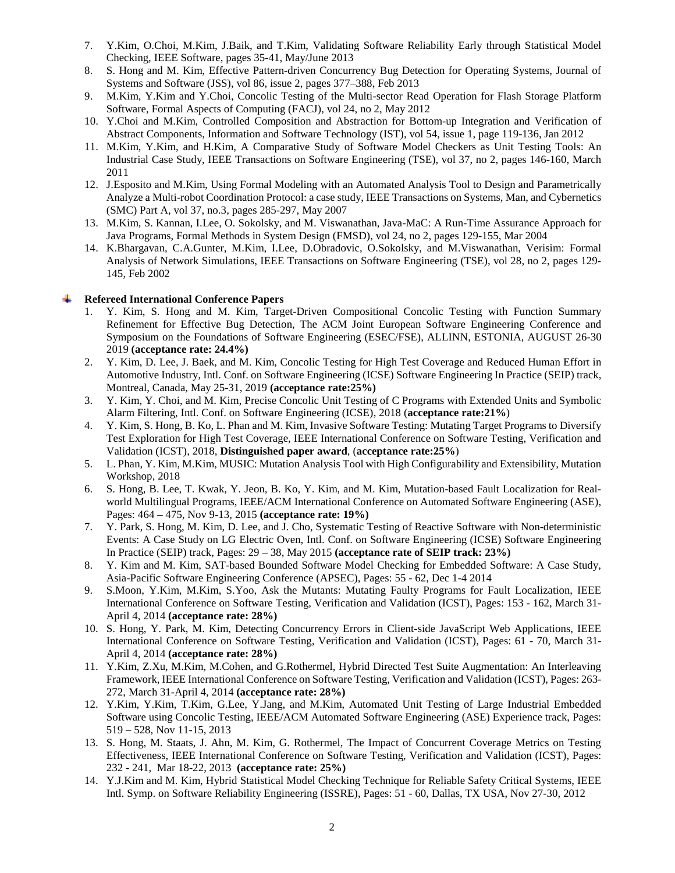- 7. Y.Kim, O.Choi, M.Kim, J.Baik, and T.Kim, Validating Software Reliability Early through Statistical Model Checking, IEEE Software, pages 35-41, May/June 2013
- 8. S. Hong and M. Kim, Effective Pattern-driven Concurrency Bug Detection for Operating Systems, Journal of Systems and Software (JSS), vol 86, issue 2, pages 377–388, Feb 2013
- 9. M.Kim, Y.Kim and Y.Choi, Concolic Testing of the Multi-sector Read Operation for Flash Storage Platform Software, Formal Aspects of Computing (FACJ), vol 24, no 2, May 2012
- 10. Y.Choi and M.Kim, Controlled Composition and Abstraction for Bottom-up Integration and Verification of Abstract Components, Information and Software Technology (IST), vol 54, issue 1, page 119-136, Jan 2012
- 11. M.Kim, Y.Kim, and H.Kim, A Comparative Study of Software Model Checkers as Unit Testing Tools: An Industrial Case Study, IEEE Transactions on Software Engineering (TSE), vol 37, no 2, pages 146-160, March 2011
- 12. J.Esposito and M.Kim, Using Formal Modeling with an Automated Analysis Tool to Design and Parametrically Analyze a Multi-robot Coordination Protocol: a case study, IEEE Transactions on Systems, Man, and Cybernetics (SMC) Part A, vol 37, no.3, pages 285-297, May 2007
- 13. M.Kim, S. Kannan, I.Lee, O. Sokolsky, and M. Viswanathan, Java-MaC: A Run-Time Assurance Approach for Java Programs, Formal Methods in System Design (FMSD), vol 24, no 2, pages 129-155, Mar 2004
- 14. K.Bhargavan, C.A.Gunter, M.Kim, I.Lee, D.Obradovic, O.Sokolsky, and M.Viswanathan, Verisim: Formal Analysis of Network Simulations, IEEE Transactions on Software Engineering (TSE), vol 28, no 2, pages 129- 145, Feb 2002

#### **Refereed International Conference Papers**

- 1. Y. Kim, S. Hong and M. Kim, Target-Driven Compositional Concolic Testing with Function Summary Refinement for Effective Bug Detection, The ACM Joint European Software Engineering Conference and Symposium on the Foundations of Software Engineering (ESEC/FSE), ALLINN, ESTONIA, AUGUST 26-30 2019 **(acceptance rate: 24.4%)**
- 2. Y. Kim, D. Lee, J. Baek, and M. Kim, Concolic Testing for High Test Coverage and Reduced Human Effort in Automotive Industry, Intl. Conf. on Software Engineering (ICSE) Software Engineering In Practice (SEIP) track, Montreal, Canada, May 25-31, 2019 **(acceptance rate:25%)**
- 3. Y. Kim, Y. Choi, and M. Kim, Precise Concolic Unit Testing of C Programs with Extended Units and Symbolic Alarm Filtering, Intl. Conf. on Software Engineering (ICSE), 2018 (**acceptance rate:21%**)
- 4. Y. Kim, S. Hong, B. Ko, L. Phan and M. Kim, Invasive Software Testing: Mutating Target Programs to Diversify Test Exploration for High Test Coverage, IEEE International Conference on Software Testing, Verification and Validation (ICST), 2018, **Distinguished paper award**, (**acceptance rate:25%**)
- 5. L. Phan, Y. Kim, M.Kim, MUSIC: Mutation Analysis Tool with High Configurability and Extensibility, Mutation Workshop, 2018
- 6. S. Hong, B. Lee, T. Kwak, Y. Jeon, B. Ko, Y. Kim, and M. Kim, Mutation-based Fault Localization for Realworld Multilingual Programs, IEEE/ACM International Conference on Automated Software Engineering (ASE), Pages: 464 – 475, Nov 9-13, 2015 **(acceptance rate: 19%)**
- 7. Y. Park, S. Hong, M. Kim, D. Lee, and J. Cho, Systematic Testing of Reactive Software with Non-deterministic Events: A Case Study on LG Electric Oven, Intl. Conf. on Software Engineering (ICSE) Software Engineering In Practice (SEIP) track, Pages: 29 – 38, May 2015 **(acceptance rate of SEIP track: 23%)**
- 8. Y. Kim and M. Kim, SAT-based Bounded Software Model Checking for Embedded Software: A Case Study, Asia-Pacific Software Engineering Conference (APSEC), Pages: 55 - 62, Dec 1-4 2014
- 9. S.Moon, Y.Kim, M.Kim, S.Yoo, Ask the Mutants: Mutating Faulty Programs for Fault Localization, IEEE International Conference on Software Testing, Verification and Validation (ICST), Pages: 153 - 162, March 31- April 4, 2014 **(acceptance rate: 28%)**
- 10. S. Hong, Y. Park, M. Kim, Detecting Concurrency Errors in Client-side JavaScript Web Applications, IEEE International Conference on Software Testing, Verification and Validation (ICST), Pages: 61 - 70, March 31- April 4, 2014 **(acceptance rate: 28%)**
- 11. Y.Kim, Z.Xu, M.Kim, M.Cohen, and G.Rothermel, Hybrid Directed Test Suite Augmentation: An Interleaving Framework, IEEE International Conference on Software Testing, Verification and Validation (ICST), Pages: 263- 272, March 31-April 4, 2014 **(acceptance rate: 28%)**
- 12. Y.Kim, Y.Kim, T.Kim, G.Lee, Y.Jang, and M.Kim, Automated Unit Testing of Large Industrial Embedded Software using Concolic Testing, IEEE/ACM Automated Software Engineering (ASE) Experience track, Pages: 519 – 528, Nov 11-15, 2013
- 13. S. Hong, M. Staats, J. Ahn, M. Kim, G. Rothermel, The Impact of Concurrent Coverage Metrics on Testing Effectiveness, IEEE International Conference on Software Testing, Verification and Validation (ICST), Pages: 232 - 241, Mar 18-22, 2013 **(acceptance rate: 25%)**
- 14. Y.J.Kim and M. Kim, Hybrid Statistical Model Checking Technique for Reliable Safety Critical Systems, IEEE Intl. Symp. on Software Reliability Engineering (ISSRE), Pages: 51 - 60, Dallas, TX USA, Nov 27-30, 2012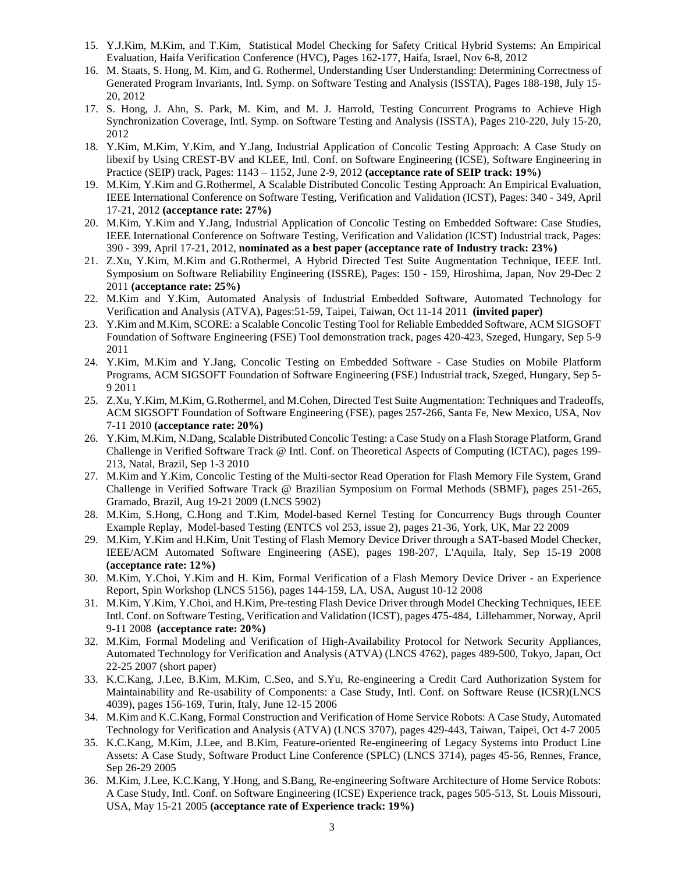- 15. Y.J.Kim, M.Kim, and T.Kim, Statistical Model Checking for Safety Critical Hybrid Systems: An Empirical Evaluation, Haifa Verification Conference (HVC), Pages 162-177, Haifa, Israel, Nov 6-8, 2012
- 16. M. Staats, S. Hong, M. Kim, and G. Rothermel, Understanding User Understanding: Determining Correctness of Generated Program Invariants, Intl. Symp. on Software Testing and Analysis (ISSTA), Pages 188-198, July 15- 20, 2012
- 17. S. Hong, J. Ahn, S. Park, M. Kim, and M. J. Harrold, Testing Concurrent Programs to Achieve High Synchronization Coverage, Intl. Symp. on Software Testing and Analysis (ISSTA), Pages 210-220, July 15-20, 2012
- 18. Y.Kim, M.Kim, Y.Kim, and Y.Jang, Industrial Application of Concolic Testing Approach: A Case Study on libexif by Using CREST-BV and KLEE, Intl. Conf. on Software Engineering (ICSE), Software Engineering in Practice (SEIP) track, Pages: 1143 – 1152, June 2-9, 2012 **(acceptance rate of SEIP track: 19%)**
- 19. M.Kim, Y.Kim and G.Rothermel, A Scalable Distributed Concolic Testing Approach: An Empirical Evaluation, IEEE International Conference on Software Testing, Verification and Validation (ICST), Pages: 340 - 349, April 17-21, 2012 **(acceptance rate: 27%)**
- 20. M.Kim, Y.Kim and Y.Jang, Industrial Application of Concolic Testing on Embedded Software: Case Studies, IEEE International Conference on Software Testing, Verification and Validation (ICST) Industrial track, Pages: 390 - 399, April 17-21, 2012, **nominated as a best paper (acceptance rate of Industry track: 23%)**
- 21. Z.Xu, Y.Kim, M.Kim and G.Rothermel, A Hybrid Directed Test Suite Augmentation Technique, IEEE Intl. Symposium on Software Reliability Engineering (ISSRE), Pages: 150 - 159, Hiroshima, Japan, Nov 29-Dec 2 2011 **(acceptance rate: 25%)**
- 22. M.Kim and Y.Kim, Automated Analysis of Industrial Embedded Software, Automated Technology for Verification and Analysis (ATVA), Pages:51-59, Taipei, Taiwan, Oct 11-14 2011 **(invited paper)**
- 23. Y.Kim and M.Kim, SCORE: a Scalable Concolic Testing Tool for Reliable Embedded Software, ACM SIGSOFT Foundation of Software Engineering (FSE) Tool demonstration track, pages 420-423, Szeged, Hungary, Sep 5-9 2011
- 24. Y.Kim, M.Kim and Y.Jang, Concolic Testing on Embedded Software Case Studies on Mobile Platform Programs, ACM SIGSOFT Foundation of Software Engineering (FSE) Industrial track, Szeged, Hungary, Sep 5- 9 2011
- 25. Z.Xu, Y.Kim, M.Kim, G.Rothermel, and M.Cohen, Directed Test Suite Augmentation: Techniques and Tradeoffs, ACM SIGSOFT Foundation of Software Engineering (FSE), pages 257-266, Santa Fe, New Mexico, USA, Nov 7-11 2010 **(acceptance rate: 20%)**
- 26. Y.Kim, M.Kim, N.Dang, Scalable Distributed Concolic Testing: a Case Study on a Flash Storage Platform, Grand Challenge in Verified Software Track @ Intl. Conf. on Theoretical Aspects of Computing (ICTAC), pages 199- 213, Natal, Brazil, Sep 1-3 2010
- 27. M.Kim and Y.Kim, Concolic Testing of the Multi-sector Read Operation for Flash Memory File System, Grand Challenge in Verified Software Track @ Brazilian Symposium on Formal Methods (SBMF), pages 251-265, Gramado, Brazil, Aug 19-21 2009 (LNCS 5902)
- 28. M.Kim, S.Hong, C.Hong and T.Kim, Model-based Kernel Testing for Concurrency Bugs through Counter Example Replay, Model-based Testing (ENTCS vol 253, issue 2), pages 21-36, York, UK, Mar 22 2009
- 29. M.Kim, Y.Kim and H.Kim, Unit Testing of Flash Memory Device Driver through a SAT-based Model Checker, IEEE/ACM Automated Software Engineering (ASE), pages 198-207, L'Aquila, Italy, Sep 15-19 2008 **(acceptance rate: 12%)**
- 30. M.Kim, Y.Choi, Y.Kim and H. Kim, Formal Verification of a Flash Memory Device Driver an Experience Report, Spin Workshop (LNCS 5156), pages 144-159, LA, USA, August 10-12 2008
- 31. M.Kim, Y.Kim, Y.Choi, and H.Kim, Pre-testing Flash Device Driver through Model Checking Techniques, IEEE Intl. Conf. on Software Testing, Verification and Validation (ICST), pages 475-484, Lillehammer, Norway, April 9-11 2008 **(acceptance rate: 20%)**
- 32. M.Kim, Formal Modeling and Verification of High-Availability Protocol for Network Security Appliances, Automated Technology for Verification and Analysis (ATVA) (LNCS 4762), pages 489-500, Tokyo, Japan, Oct 22-25 2007 (short paper)
- 33. K.C.Kang, J.Lee, B.Kim, M.Kim, C.Seo, and S.Yu, Re-engineering a Credit Card Authorization System for Maintainability and Re-usability of Components: a Case Study, Intl. Conf. on Software Reuse (ICSR)(LNCS 4039), pages 156-169, Turin, Italy, June 12-15 2006
- 34. M.Kim and K.C.Kang, Formal Construction and Verification of Home Service Robots: A Case Study, Automated Technology for Verification and Analysis (ATVA) (LNCS 3707), pages 429-443, Taiwan, Taipei, Oct 4-7 2005
- 35. K.C.Kang, M.Kim, J.Lee, and B.Kim, Feature-oriented Re-engineering of Legacy Systems into Product Line Assets: A Case Study, Software Product Line Conference (SPLC) (LNCS 3714), pages 45-56, Rennes, France, Sep 26-29 2005
- 36. M.Kim, J.Lee, K.C.Kang, Y.Hong, and S.Bang, Re-engineering Software Architecture of Home Service Robots: A Case Study, Intl. Conf. on Software Engineering (ICSE) Experience track, pages 505-513, St. Louis Missouri, USA, May 15-21 2005 **(acceptance rate of Experience track: 19%)**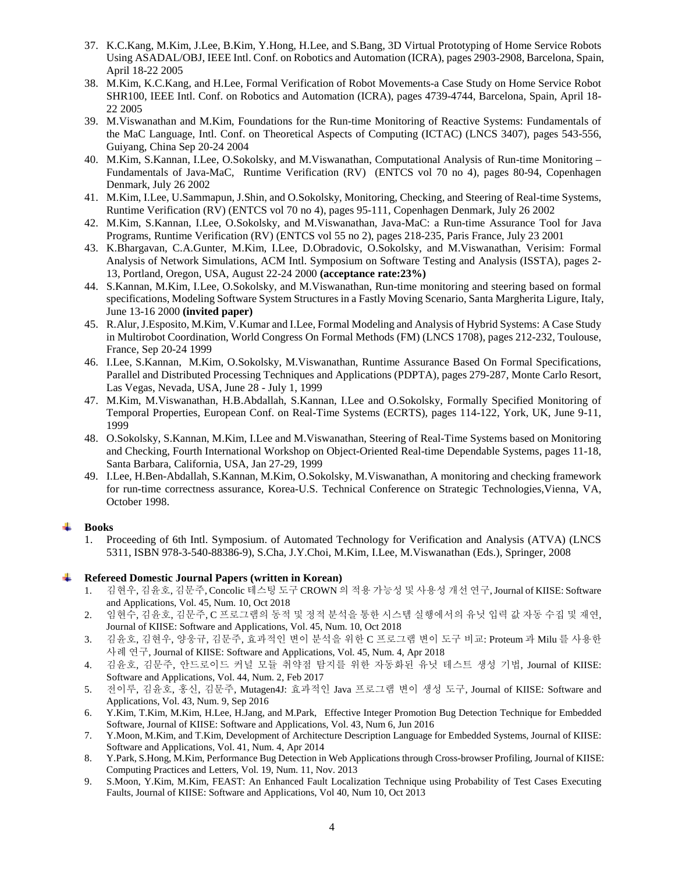- 37. K.C.Kang, M.Kim, J.Lee, B.Kim, Y.Hong, H.Lee, and S.Bang, 3D Virtual Prototyping of Home Service Robots Using ASADAL/OBJ, IEEE Intl. Conf. on Robotics and Automation (ICRA), pages 2903-2908, Barcelona, Spain, April 18-22 2005
- 38. M.Kim, K.C.Kang, and H.Lee, Formal Verification of Robot Movements-a Case Study on Home Service Robot SHR100, IEEE Intl. Conf. on Robotics and Automation (ICRA), pages 4739-4744, Barcelona, Spain, April 18- 22 2005
- 39. M.Viswanathan and M.Kim, Foundations for the Run-time Monitoring of Reactive Systems: Fundamentals of the MaC Language, Intl. Conf. on Theoretical Aspects of Computing (ICTAC) (LNCS 3407), pages 543-556, Guiyang, China Sep 20-24 2004
- 40. M.Kim, S.Kannan, I.Lee, O.Sokolsky, and M.Viswanathan, Computational Analysis of Run-time Monitoring Fundamentals of Java-MaC, Runtime Verification (RV) (ENTCS vol 70 no 4), pages 80-94, Copenhagen Denmark, July 26 2002
- 41. M.Kim, I.Lee, U.Sammapun, J.Shin, and O.Sokolsky, Monitoring, Checking, and Steering of Real-time Systems, Runtime Verification (RV) (ENTCS vol 70 no 4), pages 95-111, Copenhagen Denmark, July 26 2002
- 42. M.Kim, S.Kannan, I.Lee, O.Sokolsky, and M.Viswanathan, Java-MaC: a Run-time Assurance Tool for Java Programs, Runtime Verification (RV) (ENTCS vol 55 no 2), pages 218-235, Paris France, July 23 2001
- 43. K.Bhargavan, C.A.Gunter, M.Kim, I.Lee, D.Obradovic, O.Sokolsky, and M.Viswanathan, Verisim: Formal Analysis of Network Simulations, ACM Intl. Symposium on Software Testing and Analysis (ISSTA), pages 2- 13, Portland, Oregon, USA, August 22-24 2000 **(acceptance rate:23%)**
- 44. S.Kannan, M.Kim, I.Lee, O.Sokolsky, and M.Viswanathan, Run-time monitoring and steering based on formal specifications, Modeling Software System Structures in a Fastly Moving Scenario, Santa Margherita Ligure, Italy, June 13-16 2000 **(invited paper)**
- 45. R.Alur, J.Esposito, M.Kim, V.Kumar and I.Lee, Formal Modeling and Analysis of Hybrid Systems: A Case Study in Multirobot Coordination, World Congress On Formal Methods (FM) (LNCS 1708), pages 212-232, Toulouse, France, Sep 20-24 1999
- 46. I.Lee, S.Kannan, M.Kim, O.Sokolsky, M.Viswanathan, Runtime Assurance Based On Formal Specifications, Parallel and Distributed Processing Techniques and Applications (PDPTA), pages 279-287, Monte Carlo Resort, Las Vegas, Nevada, USA, June 28 - July 1, 1999
- 47. M.Kim, M.Viswanathan, H.B.Abdallah, S.Kannan, I.Lee and O.Sokolsky, Formally Specified Monitoring of Temporal Properties, European Conf. on Real-Time Systems (ECRTS), pages 114-122, York, UK, June 9-11, 1999
- 48. O.Sokolsky, S.Kannan, M.Kim, I.Lee and M.Viswanathan, Steering of Real-Time Systems based on Monitoring and Checking, Fourth International Workshop on Object-Oriented Real-time Dependable Systems, pages 11-18, Santa Barbara, California, USA, Jan 27-29, 1999
- 49. I.Lee, H.Ben-Abdallah, S.Kannan, M.Kim, O.Sokolsky, M.Viswanathan, A monitoring and checking framework for run-time correctness assurance, Korea-U.S. Technical Conference on Strategic Technologies, Vienna, VA, October 1998.

#### 4 **Books**

1. Proceeding of 6th Intl. Symposium. of Automated Technology for Verification and Analysis (ATVA) (LNCS 5311, ISBN 978-3-540-88386-9), S.Cha, J.Y.Choi, M.Kim, I.Lee, M.Viswanathan (Eds.), Springer, 2008

#### ÷ **Refereed Domestic Journal Papers (written in Korean)**

- 1. 김현우, 김윤호, 김문주, Concolic 테스팅 도구 CROWN 의 적용 가능성 및 사용성 개선 연구, Journal of KIISE: Software and Applications, Vol. 45, Num. 10, Oct 2018
- 2. 임현수, 김윤호, 김문주, C 프로그램의 동적 및 정적 분석을 통한 시스템 실행에서의 유닛 입력 값 자동 수집 및 재연, Journal of KIISE: Software and Applications, Vol. 45, Num. 10, Oct 2018
- 3. 김윤호, 김현우, 양웅규, 김문주, 효과적인 변이 분석을 위한 C 프로그램 변이 도구 비교: Proteum 과 Milu 를 사용한 사례 연구, Journal of KIISE: Software and Applications, Vol. 45, Num. 4, Apr 2018
- 4. 김윤호, 김문주, 안드로이드 커널 모듈 취약점 탐지를 위한 자동화된 유닛 테스트 생성 기법, Journal of KIISE: Software and Applications, Vol. 44, Num. 2, Feb 2017
- 5. 전이루, 김윤호, 홍신, 김문주, Mutagen4J: 효과적인 Java 프로그램 변이 생성 도구, Journal of KIISE: Software and Applications, Vol. 43, Num. 9, Sep 2016
- 6. Y.Kim, T.Kim, M.Kim, H.Lee, H.Jang, and M.Park, Effective Integer Promotion Bug Detection Technique for Embedded Software, Journal of KIISE: Software and Applications, Vol. 43, Num 6, Jun 2016
- 7. Y.Moon, M.Kim, and T.Kim, Development of Architecture Description Language for Embedded Systems, Journal of KIISE: Software and Applications, Vol. 41, Num. 4, Apr 2014
- 8. Y.Park, S.Hong, M.Kim, Performance Bug Detection in Web Applications through Cross-browser Profiling, Journal of KIISE: Computing Practices and Letters, Vol. 19, Num. 11, Nov. 2013
- 9. S.Moon, Y.Kim, M.Kim, FEAST: An Enhanced Fault Localization Technique using Probability of Test Cases Executing Faults, Journal of KIISE: Software and Applications, Vol 40, Num 10, Oct 2013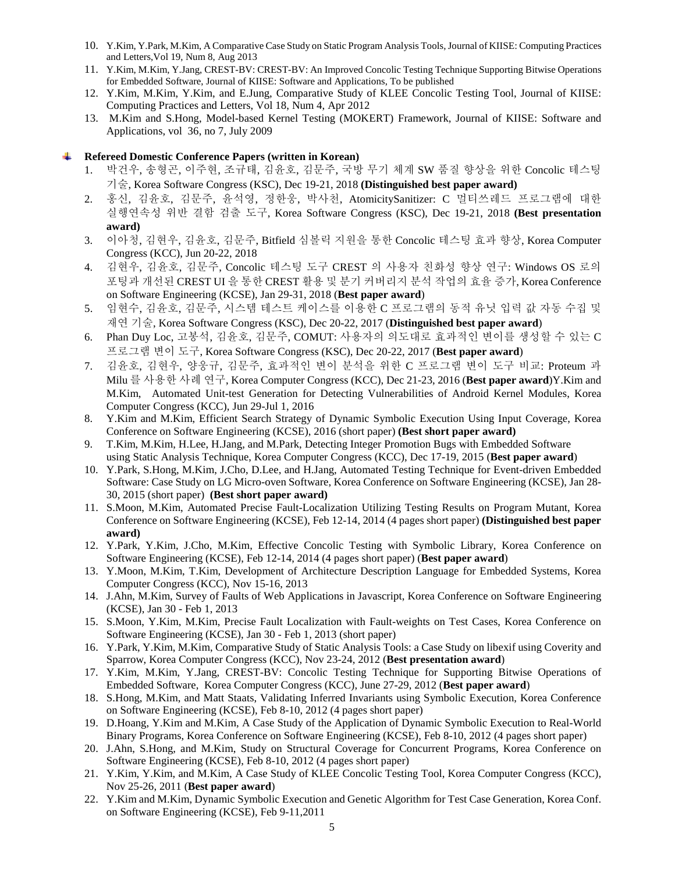- 10. Y.Kim, Y.Park, M.Kim, A Comparative Case Study on Static Program Analysis Tools, Journal of KIISE: Computing Practices and Letters,Vol 19, Num 8, Aug 2013
- 11. Y.Kim, M.Kim, Y.Jang, CREST-BV: CREST-BV: An Improved Concolic Testing Technique Supporting Bitwise Operations for Embedded Software, Journal of KIISE: Software and Applications, To be published
- 12. Y.Kim, M.Kim, Y.Kim, and E.Jung, Comparative Study of KLEE Concolic Testing Tool, Journal of KIISE: Computing Practices and Letters, Vol 18, Num 4, Apr 2012
- 13. M.Kim and S.Hong, Model-based Kernel Testing (MOKERT) Framework, Journal of KIISE: Software and Applications, vol 36, no 7, July 2009

### **Refereed Domestic Conference Papers (written in Korean)**

- 1. 박건우, 송형곤, 이주현, 조규태, 김윤호, 김문주, 국방 무기 체계 SW 품질 향상을 위한 Concolic 테스팅 기술, Korea Software Congress (KSC), Dec 19-21, 2018 **(Distinguished best paper award)**
- 2. 홍신, 김윤호, 김문주, 윤석영, 정한웅, 박사천, AtomicitySanitizer: C 멀티쓰레드 프로그램에 대한 실행연속성 위반 결함 검출 도구, Korea Software Congress (KSC), Dec 19-21, 2018 **(Best presentation award)**
- 3. 이아청, 김현우, 김윤호, 김문주, Bitfield 심볼릭 지원을 통한 Concolic 테스팅 효과 향상, Korea Computer Congress (KCC), Jun 20-22, 2018
- 4. 김현우, 김윤호, 김문주, Concolic 테스팅 도구 CREST 의 사용자 친화성 향상 연구: Windows OS 로의 포팅과 개선된 CREST UI 을 통한 CREST 활용 및 분기 커버리지 분석 작업의 효율 증가, Korea Conference on Software Engineering (KCSE), Jan 29-31, 2018 (**Best paper award**)
- 5. 임현수, 김윤호, 김문주, 시스템 테스트 케이스를 이용한 C 프로그램의 동적 유닛 입력 값 자동 수집 및 재연 기술, Korea Software Congress (KSC), Dec 20-22, 2017 (**Distinguished best paper award**)
- 6. Phan Duy Loc, 고봉석, 김윤호, 김문주, COMUT: 사용자의 의도대로 효과적인 변이를 생성할 수 있는 C 프로그램 변이 도구, Korea Software Congress (KSC), Dec 20-22, 2017 (**Best paper award**)
- 7. 김윤호, 김현우, 양웅규, 김문주, 효과적인 변이 분석을 위한 C 프로그램 변이 도구 비교: Proteum 과 Milu 를 사용한 사례 연구, Korea Computer Congress (KCC), Dec 21-23, 2016 (**Best paper award**)Y.Kim and M.Kim, Automated Unit-test Generation for Detecting Vulnerabilities of Android Kernel Modules, Korea Computer Congress (KCC), Jun 29-Jul 1, 2016
- 8. Y.Kim and M.Kim, Efficient Search Strategy of Dynamic Symbolic Execution Using Input Coverage, Korea Conference on Software Engineering (KCSE), 2016 (short paper) **(Best short paper award)**
- 9. T.Kim, M.Kim, H.Lee, H.Jang, and M.Park, Detecting Integer Promotion Bugs with Embedded Software using Static Analysis Technique, Korea Computer Congress (KCC), Dec 17-19, 2015 (**Best paper award**)
- 10. Y.Park, S.Hong, M.Kim, J.Cho, D.Lee, and H.Jang, Automated Testing Technique for Event-driven Embedded Software: Case Study on LG Micro-oven Software, Korea Conference on Software Engineering (KCSE), Jan 28- 30, 2015 (short paper) **(Best short paper award)**
- 11. S.Moon, M.Kim, Automated Precise Fault-Localization Utilizing Testing Results on Program Mutant, Korea Conference on Software Engineering (KCSE), Feb 12-14, 2014 (4 pages short paper) **(Distinguished best paper award)**
- 12. Y.Park, Y.Kim, J.Cho, M.Kim, Effective Concolic Testing with Symbolic Library, Korea Conference on Software Engineering (KCSE), Feb 12-14, 2014 (4 pages short paper) (**Best paper award**)
- 13. Y.Moon, M.Kim, T.Kim, Development of Architecture Description Language for Embedded Systems, Korea Computer Congress (KCC), Nov 15-16, 2013
- 14. J.Ahn, M.Kim, Survey of Faults of Web Applications in Javascript, Korea Conference on Software Engineering (KCSE), Jan 30 - Feb 1, 2013
- 15. S.Moon, Y.Kim, M.Kim, Precise Fault Localization with Fault-weights on Test Cases, Korea Conference on Software Engineering (KCSE), Jan 30 - Feb 1, 2013 (short paper)
- 16. Y.Park, Y.Kim, M.Kim, Comparative Study of Static Analysis Tools: a Case Study on libexif using Coverity and Sparrow, Korea Computer Congress (KCC), Nov 23-24, 2012 (**Best presentation award**)
- 17. Y.Kim, M.Kim, Y.Jang, CREST-BV: Concolic Testing Technique for Supporting Bitwise Operations of Embedded Software, Korea Computer Congress (KCC), June 27-29, 2012 (**Best paper award**)
- 18. S.Hong, M.Kim, and Matt Staats, Validating Inferred Invariants using Symbolic Execution, Korea Conference on Software Engineering (KCSE), Feb 8-10, 2012 (4 pages short paper)
- 19. D.Hoang, Y.Kim and M.Kim, A Case Study of the Application of Dynamic Symbolic Execution to Real-World Binary Programs, Korea Conference on Software Engineering (KCSE), Feb 8-10, 2012 (4 pages short paper)
- 20. J.Ahn, S.Hong, and M.Kim, Study on Structural Coverage for Concurrent Programs, Korea Conference on Software Engineering (KCSE), Feb 8-10, 2012 (4 pages short paper)
- 21. Y.Kim, Y.Kim, and M.Kim, A Case Study of KLEE Concolic Testing Tool, Korea Computer Congress (KCC), Nov 25-26, 2011 (**Best paper award**)
- 22. Y.Kim and M.Kim, Dynamic Symbolic Execution and Genetic Algorithm for Test Case Generation, Korea Conf. on Software Engineering (KCSE), Feb 9-11,2011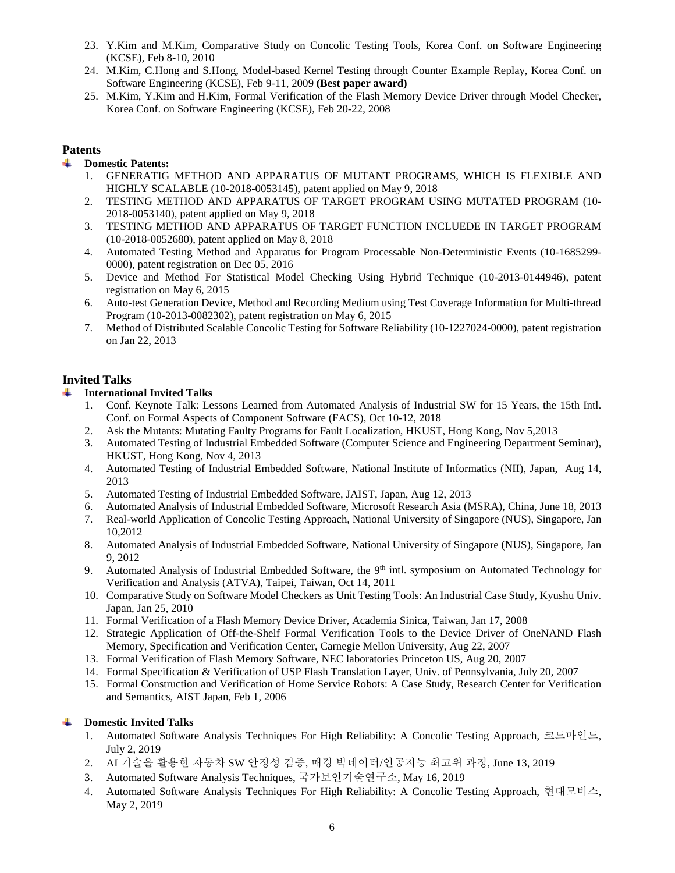- 23. Y.Kim and M.Kim, Comparative Study on Concolic Testing Tools, Korea Conf. on Software Engineering (KCSE), Feb 8-10, 2010
- 24. M.Kim, C.Hong and S.Hong, Model-based Kernel Testing through Counter Example Replay, Korea Conf. on Software Engineering (KCSE), Feb 9-11, 2009 **(Best paper award)**
- 25. M.Kim, Y.Kim and H.Kim, Formal Verification of the Flash Memory Device Driver through Model Checker, Korea Conf. on Software Engineering (KCSE), Feb 20-22, 2008

# **Patents**

- **Domestic Patents:**  4
	- 1. GENERATIG METHOD AND APPARATUS OF MUTANT PROGRAMS, WHICH IS FLEXIBLE AND HIGHLY SCALABLE (10-2018-0053145), patent applied on May 9, 2018
	- 2. TESTING METHOD AND APPARATUS OF TARGET PROGRAM USING MUTATED PROGRAM (10- 2018-0053140), patent applied on May 9, 2018
	- 3. TESTING METHOD AND APPARATUS OF TARGET FUNCTION INCLUEDE IN TARGET PROGRAM (10-2018-0052680), patent applied on May 8, 2018
	- 4. Automated Testing Method and Apparatus for Program Processable Non-Deterministic Events (10-1685299- 0000), patent registration on Dec 05, 2016
	- 5. Device and Method For Statistical Model Checking Using Hybrid Technique (10-2013-0144946), patent registration on May 6, 2015
	- 6. Auto-test Generation Device, Method and Recording Medium using Test Coverage Information for Multi-thread Program (10-2013-0082302), patent registration on May 6, 2015
	- 7. Method of Distributed Scalable Concolic Testing for Software Reliability (10-1227024-0000), patent registration on Jan 22, 2013

# **Invited Talks**

#### a. **International Invited Talks**

- 1. Conf. Keynote Talk: Lessons Learned from Automated Analysis of Industrial SW for 15 Years, the 15th Intl. Conf. on Formal Aspects of Component Software (FACS), Oct 10-12, 2018
- 2. Ask the Mutants: Mutating Faulty Programs for Fault Localization, HKUST, Hong Kong, Nov 5,2013
- 3. Automated Testing of Industrial Embedded Software (Computer Science and Engineering Department Seminar), HKUST, Hong Kong, Nov 4, 2013
- 4. Automated Testing of Industrial Embedded Software, National Institute of Informatics (NII), Japan, Aug 14, 2013
- 5. Automated Testing of Industrial Embedded Software, JAIST, Japan, Aug 12, 2013
- 6. Automated Analysis of Industrial Embedded Software, Microsoft Research Asia (MSRA), China, June 18, 2013
- 7. Real-world Application of Concolic Testing Approach, National University of Singapore (NUS), Singapore, Jan 10,2012
- 8. Automated Analysis of Industrial Embedded Software, National University of Singapore (NUS), Singapore, Jan 9, 2012
- 9. Automated Analysis of Industrial Embedded Software, the 9<sup>th</sup> intl. symposium on Automated Technology for Verification and Analysis (ATVA), Taipei, Taiwan, Oct 14, 2011
- 10. Comparative Study on Software Model Checkers as Unit Testing Tools: An Industrial Case Study, Kyushu Univ. Japan, Jan 25, 2010
- 11. Formal Verification of a Flash Memory Device Driver, Academia Sinica, Taiwan, Jan 17, 2008
- 12. Strategic Application of Off-the-Shelf Formal Verification Tools to the Device Driver of OneNAND Flash Memory, Specification and Verification Center, Carnegie Mellon University, Aug 22, 2007
- 13. Formal Verification of Flash Memory Software, NEC laboratories Princeton US, Aug 20, 2007
- 14. Formal Specification & Verification of USP Flash Translation Layer, Univ. of Pennsylvania, July 20, 2007
- 15. Formal Construction and Verification of Home Service Robots: A Case Study, Research Center for Verification and Semantics, AIST Japan, Feb 1, 2006

# **Domestic Invited Talks**

- 1. Automated Software Analysis Techniques For High Reliability: A Concolic Testing Approach, 코드마인드, July 2, 2019
- 2. AI 기술을 활용한 자동차 SW 안정성 검증, 매경 빅데이터/인공지능 최고위 과정, June 13, 2019
- 3. Automated Software Analysis Techniques, 국가보안기술연구소, May 16, 2019
- 4. Automated Software Analysis Techniques For High Reliability: A Concolic Testing Approach, 현대모비스, May 2, 2019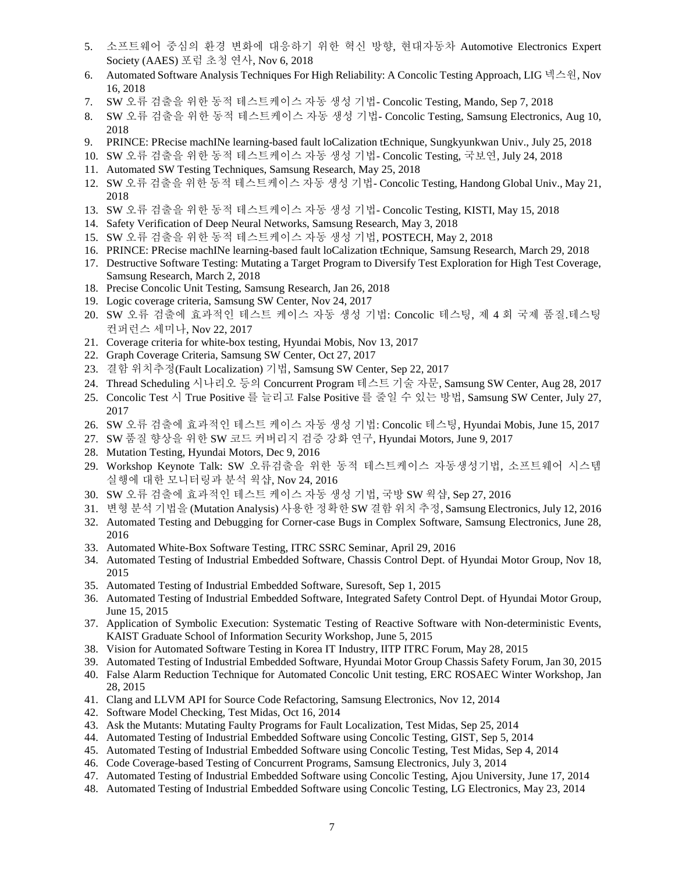- 5. 소프트웨어 중심의 환경 변화에 대응하기 위한 혁신 방향, 현대자동차 Automotive Electronics Expert Society (AAES) 포럼 초청 연사, Nov 6, 2018
- 6. Automated Software Analysis Techniques For High Reliability: A Concolic Testing Approach, LIG 넥스원, Nov 16, 2018
- 7. SW 오류 검출을 위한 동적 테스트케이스 자동 생성 기법- Concolic Testing, Mando, Sep 7, 2018
- 8. SW 오류 검출을 위한 동적 테스트케이스 자동 생성 기법- Concolic Testing, Samsung Electronics, Aug 10, 2018
- 9. PRINCE: PRecise machINe learning-based fault loCalization tEchnique, Sungkyunkwan Univ., July 25, 2018
- 10. SW 오류 검출을 위한 동적 테스트케이스 자동 생성 기법- Concolic Testing, 국보연, July 24, 2018
- 11. Automated SW Testing Techniques, Samsung Research, May 25, 2018
- 12. SW 오류 검출을 위한 동적 테스트케이스 자동 생성 기법- Concolic Testing, Handong Global Univ., May 21, 2018
- 13. SW 오류 검출을 위한 동적 테스트케이스 자동 생성 기법- Concolic Testing, KISTI, May 15, 2018
- 14. Safety Verification of Deep Neural Networks, Samsung Research, May 3, 2018
- 15. SW 오류 검출을 위한 동적 테스트케이스 자동 생성 기법, POSTECH, May 2, 2018
- 16. PRINCE: PRecise machINe learning-based fault loCalization tEchnique, Samsung Research, March 29, 2018
- 17. Destructive Software Testing: Mutating a Target Program to Diversify Test Exploration for High Test Coverage, Samsung Research, March 2, 2018
- 18. Precise Concolic Unit Testing, Samsung Research, Jan 26, 2018
- 19. Logic coverage criteria, Samsung SW Center, Nov 24, 2017
- 20. SW 오류 검출에 효과적인 테스트 케이스 자동 생성 기법: Concolic 테스팅, 제 4 회 국제 품질.테스팅 컨퍼런스 세미나, Nov 22, 2017
- 21. Coverage criteria for white-box testing, Hyundai Mobis, Nov 13, 2017
- 22. Graph Coverage Criteria, Samsung SW Center, Oct 27, 2017
- 23. 결함 위치추정(Fault Localization) 기법, Samsung SW Center, Sep 22, 2017
- 24. Thread Scheduling 시나리오 등의 Concurrent Program 테스트 기술 자문, Samsung SW Center, Aug 28, 2017
- 25. Concolic Test 시 True Positive 를 늘리고 False Positive 를 줄일 수 있는 방법, Samsung SW Center, July 27, 2017
- 26. SW 오류 검출에 효과적인 테스트 케이스 자동 생성 기법: Concolic 테스팅, Hyundai Mobis, June 15, 2017
- 27. SW 품질 향상을 위한 SW 코드 커버리지 검증 강화 연구, Hyundai Motors, June 9, 2017
- 28. Mutation Testing, Hyundai Motors, Dec 9, 2016
- 29. Workshop Keynote Talk: SW 오류검출을 위한 동적 테스트케이스 자동생성기법, 소프트웨어 시스템 실행에 대한 모니터링과 분석 웍샵, Nov 24, 2016
- 30. SW 오류 검출에 효과적인 테스트 케이스 자동 생성 기법, 국방 SW 웍샵, Sep 27, 2016
- 31. 변형 분석 기법을 (Mutation Analysis) 사용한 정확한 SW 결함 위치 추정, Samsung Electronics, July 12, 2016
- 32. Automated Testing and Debugging for Corner-case Bugs in Complex Software, Samsung Electronics, June 28, 2016
- 33. Automated White-Box Software Testing, ITRC SSRC Seminar, April 29, 2016
- 34. Automated Testing of Industrial Embedded Software, Chassis Control Dept. of Hyundai Motor Group, Nov 18, 2015
- 35. Automated Testing of Industrial Embedded Software, Suresoft, Sep 1, 2015
- 36. Automated Testing of Industrial Embedded Software, Integrated Safety Control Dept. of Hyundai Motor Group, June 15, 2015
- 37. Application of Symbolic Execution: Systematic Testing of Reactive Software with Non-deterministic Events, KAIST Graduate School of Information Security Workshop, June 5, 2015
- 38. Vision for Automated Software Testing in Korea IT Industry, IITP ITRC Forum, May 28, 2015
- 39. Automated Testing of Industrial Embedded Software, Hyundai Motor Group Chassis Safety Forum, Jan 30, 2015
- 40. False Alarm Reduction Technique for Automated Concolic Unit testing, ERC ROSAEC Winter Workshop, Jan 28, 2015
- 41. Clang and LLVM API for Source Code Refactoring, Samsung Electronics, Nov 12, 2014
- 42. Software Model Checking, Test Midas, Oct 16, 2014
- 43. Ask the Mutants: Mutating Faulty Programs for Fault Localization, Test Midas, Sep 25, 2014
- 44. Automated Testing of Industrial Embedded Software using Concolic Testing, GIST, Sep 5, 2014
- 45. Automated Testing of Industrial Embedded Software using Concolic Testing, Test Midas, Sep 4, 2014
- 46. Code Coverage-based Testing of Concurrent Programs, Samsung Electronics, July 3, 2014
- 47. Automated Testing of Industrial Embedded Software using Concolic Testing, Ajou University, June 17, 2014
- 48. Automated Testing of Industrial Embedded Software using Concolic Testing, LG Electronics, May 23, 2014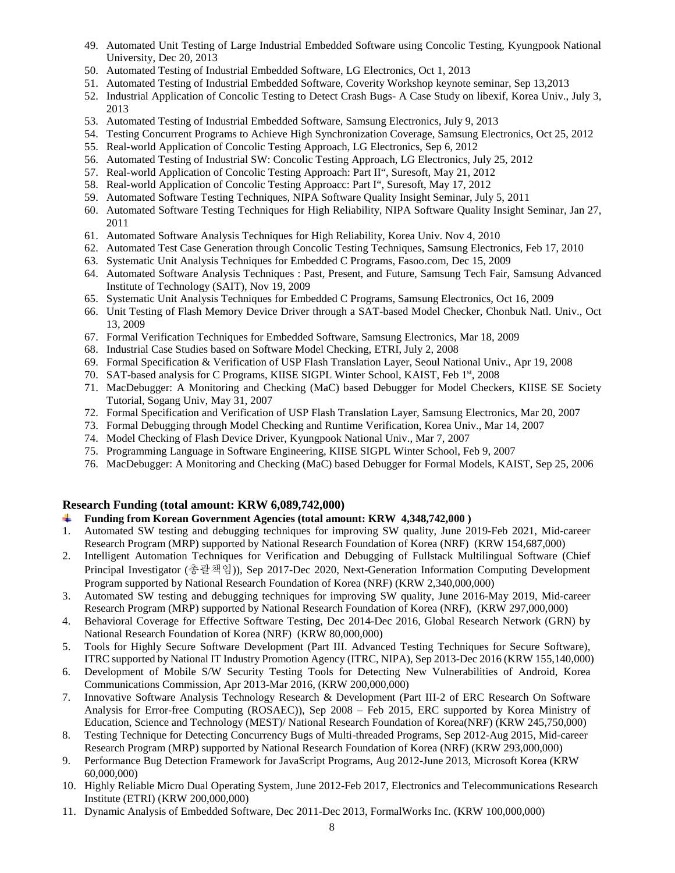- 49. Automated Unit Testing of Large Industrial Embedded Software using Concolic Testing, Kyungpook National University, Dec 20, 2013
- 50. Automated Testing of Industrial Embedded Software, LG Electronics, Oct 1, 2013
- 51. Automated Testing of Industrial Embedded Software, Coverity Workshop keynote seminar, Sep 13,2013
- 52. Industrial Application of Concolic Testing to Detect Crash Bugs- A Case Study on libexif, Korea Univ., July 3, 2013
- 53. Automated Testing of Industrial Embedded Software, Samsung Electronics, July 9, 2013
- 54. Testing Concurrent Programs to Achieve High Synchronization Coverage, Samsung Electronics, Oct 25, 2012
- 55. Real-world Application of Concolic Testing Approach, LG Electronics, Sep 6, 2012
- 56. Automated Testing of Industrial SW: Concolic Testing Approach, LG Electronics, July 25, 2012
- 57. Real-world Application of Concolic Testing Approach: Part II", Suresoft, May 21, 2012
- 58. Real-world Application of Concolic Testing Approacc: Part I", Suresoft, May 17, 2012
- 59. Automated Software Testing Techniques, NIPA Software Quality Insight Seminar, July 5, 2011
- 60. Automated Software Testing Techniques for High Reliability, NIPA Software Quality Insight Seminar, Jan 27, 2011
- 61. Automated Software Analysis Techniques for High Reliability, Korea Univ. Nov 4, 2010
- 62. Automated Test Case Generation through Concolic Testing Techniques, Samsung Electronics, Feb 17, 2010
- 63. Systematic Unit Analysis Techniques for Embedded C Programs, Fasoo.com, Dec 15, 2009
- 64. Automated Software Analysis Techniques : Past, Present, and Future, Samsung Tech Fair, Samsung Advanced Institute of Technology (SAIT), Nov 19, 2009
- 65. Systematic Unit Analysis Techniques for Embedded C Programs, Samsung Electronics, Oct 16, 2009
- 66. Unit Testing of Flash Memory Device Driver through a SAT-based Model Checker, Chonbuk Natl. Univ., Oct 13, 2009
- 67. Formal Verification Techniques for Embedded Software, Samsung Electronics, Mar 18, 2009
- 68. Industrial Case Studies based on Software Model Checking, ETRI, July 2, 2008
- 69. Formal Specification & Verification of USP Flash Translation Layer, Seoul National Univ., Apr 19, 2008
- 70. SAT-based analysis for C Programs, KIISE SIGPL Winter School, KAIST, Feb 1st, 2008
- 71. MacDebugger: A Monitoring and Checking (MaC) based Debugger for Model Checkers, KIISE SE Society Tutorial, Sogang Univ, May 31, 2007
- 72. Formal Specification and Verification of USP Flash Translation Layer, Samsung Electronics, Mar 20, 2007
- 73. Formal Debugging through Model Checking and Runtime Verification, Korea Univ., Mar 14, 2007
- 74. Model Checking of Flash Device Driver, Kyungpook National Univ., Mar 7, 2007
- 75. Programming Language in Software Engineering, KIISE SIGPL Winter School, Feb 9, 2007
- 76. MacDebugger: A Monitoring and Checking (MaC) based Debugger for Formal Models, KAIST, Sep 25, 2006

# **Research Funding (total amount: KRW 6,089,742,000)**

- **Funding from Korean Government Agencies (total amount: KRW 4,348,742,000 )**
- 1. Automated SW testing and debugging techniques for improving SW quality, June 2019-Feb 2021, Mid-career Research Program (MRP) supported by National Research Foundation of Korea (NRF) (KRW 154,687,000)
- 2. Intelligent Automation Techniques for Verification and Debugging of Fullstack Multilingual Software (Chief Principal Investigator (총괄책임)), Sep 2017-Dec 2020, Next-Generation Information Computing Development Program supported by National Research Foundation of Korea (NRF) (KRW 2,340,000,000)
- 3. Automated SW testing and debugging techniques for improving SW quality, June 2016-May 2019, Mid-career Research Program (MRP) supported by National Research Foundation of Korea (NRF), (KRW 297,000,000)
- 4. Behavioral Coverage for Effective Software Testing, Dec 2014-Dec 2016, Global Research Network (GRN) by National Research Foundation of Korea (NRF) (KRW 80,000,000)
- 5. Tools for Highly Secure Software Development (Part III. Advanced Testing Techniques for Secure Software), ITRC supported by National IT Industry Promotion Agency (ITRC, NIPA), Sep 2013-Dec 2016 (KRW 155,140,000)
- 6. Development of Mobile S/W Security Testing Tools for Detecting New Vulnerabilities of Android, Korea Communications Commission, Apr 2013-Mar 2016, (KRW 200,000,000)
- 7. Innovative Software Analysis Technology Research & Development (Part III-2 of ERC Research On Software Analysis for Error-free Computing (ROSAEC)), Sep 2008 – Feb 2015, ERC supported by Korea Ministry of Education, Science and Technology (MEST)/ National Research Foundation of Korea(NRF) (KRW 245,750,000)
- 8. Testing Technique for Detecting Concurrency Bugs of Multi-threaded Programs, Sep 2012-Aug 2015, Mid-career Research Program (MRP) supported by National Research Foundation of Korea (NRF) (KRW 293,000,000)
- 9. Performance Bug Detection Framework for JavaScript Programs, Aug 2012-June 2013, Microsoft Korea (KRW 60,000,000)
- 10. Highly Reliable Micro Dual Operating System, June 2012-Feb 2017, Electronics and Telecommunications Research Institute (ETRI) (KRW 200,000,000)
- 11. Dynamic Analysis of Embedded Software, Dec 2011-Dec 2013, FormalWorks Inc. (KRW 100,000,000)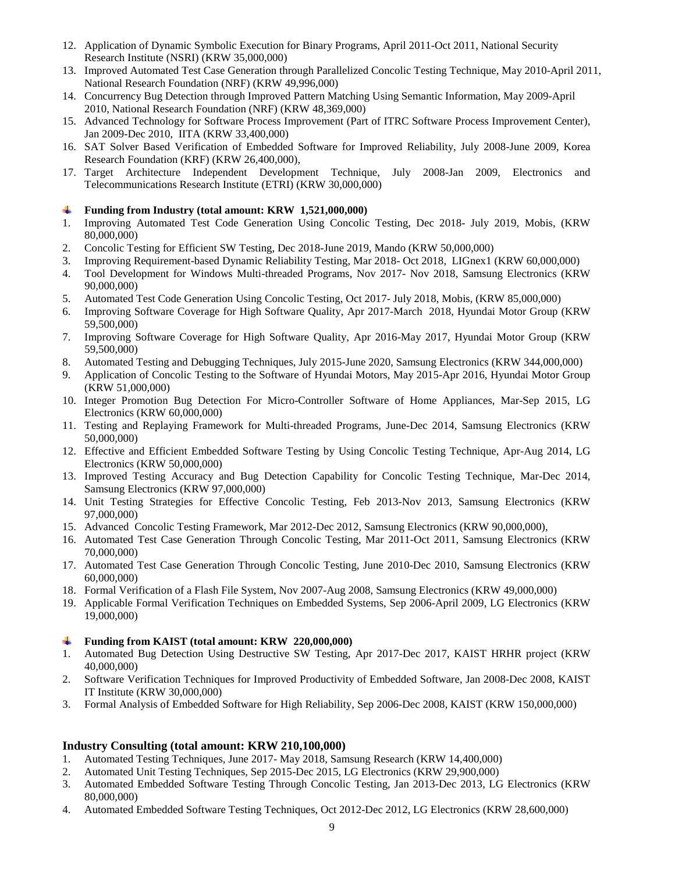- 12. Application of Dynamic Symbolic Execution for Binary Programs, April 2011-Oct 2011, National Security Research Institute (NSRI) (KRW 35,000,000)
- 13. Improved Automated Test Case Generation through Parallelized Concolic Testing Technique, May 2010-April 2011, National Research Foundation (NRF) (KRW 49,996,000)
- 14. Concurrency Bug Detection through Improved Pattern Matching Using Semantic Information, May 2009-April 2010, National Research Foundation (NRF) (KRW 48,369,000)
- 15. Advanced Technology for Software Process Improvement (Part of ITRC Software Process Improvement Center), Jan 2009-Dec 2010, IITA (KRW 33,400,000)
- 16. SAT Solver Based Verification of Embedded Software for Improved Reliability, July 2008-June 2009, Korea Research Foundation (KRF) (KRW 26,400,000),
- 17. Target Architecture Independent Development Technique, July 2008-Jan 2009, Electronics and Telecommunications Research Institute (ETRI) (KRW 30,000,000)

### **Funding from Industry (total amount: KRW 1,521,000,000)**

- 1. Improving Automated Test Code Generation Using Concolic Testing, Dec 2018- July 2019, Mobis, (KRW 80,000,000)
- 2. Concolic Testing for Efficient SW Testing, Dec 2018-June 2019, Mando (KRW 50,000,000)
- 3. Improving Requirement-based Dynamic Reliability Testing, Mar 2018- Oct 2018, LIGnex1 (KRW 60,000,000)
- 4. Tool Development for Windows Multi-threaded Programs, Nov 2017- Nov 2018, Samsung Electronics (KRW 90,000,000)
- 5. Automated Test Code Generation Using Concolic Testing, Oct 2017- July 2018, Mobis, (KRW 85,000,000)
- 6. Improving Software Coverage for High Software Quality, Apr 2017-March 2018, Hyundai Motor Group (KRW 59,500,000)
- 7. Improving Software Coverage for High Software Quality, Apr 2016-May 2017, Hyundai Motor Group (KRW 59,500,000)
- 8. Automated Testing and Debugging Techniques, July 2015-June 2020, Samsung Electronics (KRW 344,000,000)
- 9. Application of Concolic Testing to the Software of Hyundai Motors, May 2015-Apr 2016, Hyundai Motor Group (KRW 51,000,000)
- 10. Integer Promotion Bug Detection For Micro-Controller Software of Home Appliances, Mar-Sep 2015, LG Electronics (KRW 60,000,000)
- 11. Testing and Replaying Framework for Multi-threaded Programs, June-Dec 2014, Samsung Electronics (KRW 50,000,000)
- 12. Effective and Efficient Embedded Software Testing by Using Concolic Testing Technique, Apr-Aug 2014, LG Electronics (KRW 50,000,000)
- 13. Improved Testing Accuracy and Bug Detection Capability for Concolic Testing Technique, Mar-Dec 2014, Samsung Electronics (KRW 97,000,000)
- 14. Unit Testing Strategies for Effective Concolic Testing, Feb 2013-Nov 2013, Samsung Electronics (KRW 97,000,000)
- 15. Advanced Concolic Testing Framework, Mar 2012-Dec 2012, Samsung Electronics (KRW 90,000,000),
- 16. Automated Test Case Generation Through Concolic Testing, Mar 2011-Oct 2011, Samsung Electronics (KRW 70,000,000)
- 17. Automated Test Case Generation Through Concolic Testing, June 2010-Dec 2010, Samsung Electronics (KRW 60,000,000)
- 18. Formal Verification of a Flash File System, Nov 2007-Aug 2008, Samsung Electronics (KRW 49,000,000)
- 19. Applicable Formal Verification Techniques on Embedded Systems, Sep 2006-April 2009, LG Electronics (KRW 19,000,000)

### **Funding from KAIST (total amount: KRW 220,000,000)**

- 1. Automated Bug Detection Using Destructive SW Testing, Apr 2017-Dec 2017, KAIST HRHR project (KRW 40,000,000)
- 2. Software Verification Techniques for Improved Productivity of Embedded Software, Jan 2008-Dec 2008, KAIST IT Institute (KRW 30,000,000)
- 3. Formal Analysis of Embedded Software for High Reliability, Sep 2006-Dec 2008, KAIST (KRW 150,000,000)

### **Industry Consulting (total amount: KRW 210,100,000)**

- 1. Automated Testing Techniques, June 2017- May 2018, Samsung Research (KRW 14,400,000)
- 2. Automated Unit Testing Techniques, Sep 2015-Dec 2015, LG Electronics (KRW 29,900,000)
- 3. Automated Embedded Software Testing Through Concolic Testing, Jan 2013-Dec 2013, LG Electronics (KRW 80,000,000)
- 4. Automated Embedded Software Testing Techniques, Oct 2012-Dec 2012, LG Electronics (KRW 28,600,000)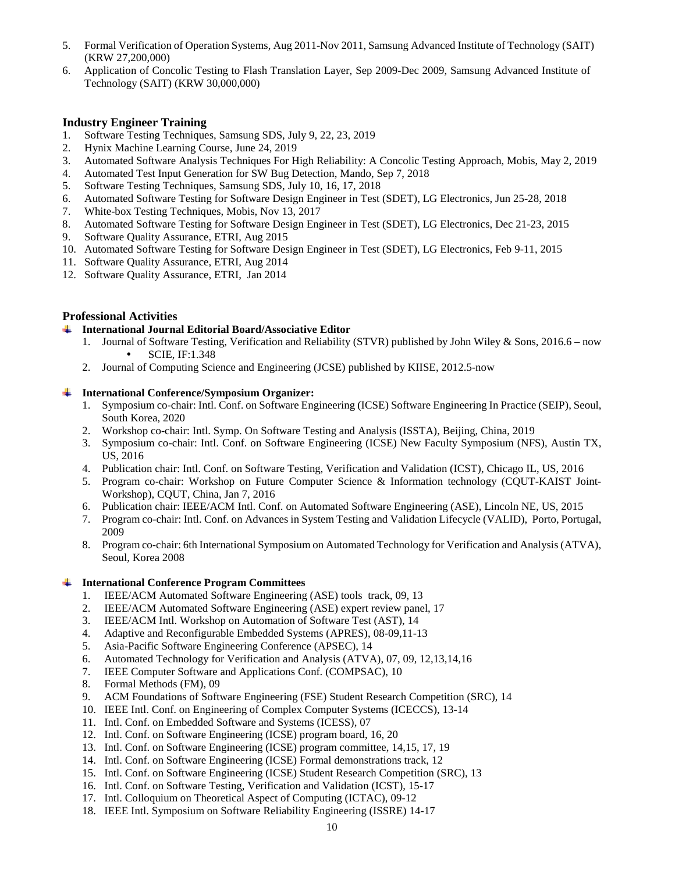- 5. Formal Verification of Operation Systems, Aug 2011-Nov 2011, Samsung Advanced Institute of Technology (SAIT) (KRW 27,200,000)
- 6. Application of Concolic Testing to Flash Translation Layer, Sep 2009-Dec 2009, Samsung Advanced Institute of Technology (SAIT) (KRW 30,000,000)

# **Industry Engineer Training**

- 1. Software Testing Techniques, Samsung SDS, July 9, 22, 23, 2019
- 2. Hynix Machine Learning Course, June 24, 2019
- 3. Automated Software Analysis Techniques For High Reliability: A Concolic Testing Approach, Mobis, May 2, 2019
- 4. Automated Test Input Generation for SW Bug Detection, Mando, Sep 7, 2018
- 5. Software Testing Techniques, Samsung SDS, July 10, 16, 17, 2018
- 6. Automated Software Testing for Software Design Engineer in Test (SDET), LG Electronics, Jun 25-28, 2018
- 7. White-box Testing Techniques, Mobis, Nov 13, 2017
- 8. Automated Software Testing for Software Design Engineer in Test (SDET), LG Electronics, Dec 21-23, 2015
- 9. Software Quality Assurance, ETRI, Aug 2015
- 10. Automated Software Testing for Software Design Engineer in Test (SDET), LG Electronics, Feb 9-11, 2015
- 11. Software Quality Assurance, ETRI, Aug 2014
- 12. Software Quality Assurance, ETRI, Jan 2014

### **Professional Activities**

- **International Journal Editorial Board/Associative Editor** 
	- 1. Journal of Software Testing, Verification and Reliability (STVR) published by John Wiley & Sons, 2016.6 now SCIE, IF:1.348
	- 2. Journal of Computing Science and Engineering (JCSE) published by KIISE, 2012.5-now

#### **International Conference/Symposium Organizer:**

- 1. Symposium co-chair: Intl. Conf. on Software Engineering (ICSE) Software Engineering In Practice (SEIP), Seoul, South Korea, 2020
- 2. Workshop co-chair: Intl. Symp. On Software Testing and Analysis (ISSTA), Beijing, China, 2019
- 3. Symposium co-chair: Intl. Conf. on Software Engineering (ICSE) New Faculty Symposium (NFS), Austin TX, US, 2016
- 4. Publication chair: Intl. Conf. on Software Testing, Verification and Validation (ICST), Chicago IL, US, 2016
- 5. Program co-chair: Workshop on Future Computer Science & Information technology (CQUT-KAIST Joint-Workshop), CQUT, China, Jan 7, 2016
- 6. Publication chair: IEEE/ACM Intl. Conf. on Automated Software Engineering (ASE), Lincoln NE, US, 2015
- 7. Program co-chair: Intl. Conf. on Advances in System Testing and Validation Lifecycle (VALID), Porto, Portugal, 2009
- 8. Program co-chair: 6th International Symposium on Automated Technology for Verification and Analysis (ATVA), Seoul, Korea 2008

### **International Conference Program Committees**

- 1. IEEE/ACM Automated Software Engineering (ASE) tools track, 09, 13
- 2. IEEE/ACM Automated Software Engineering (ASE) expert review panel, 17
- 3. IEEE/ACM Intl. Workshop on Automation of Software Test (AST), 14
- 4. Adaptive and Reconfigurable Embedded Systems (APRES), 08-09,11-13<br>5. Asia-Pacific Software Engineering Conference (APSEC), 14
- 5. Asia-Pacific Software Engineering Conference (APSEC), 14
- 6. Automated Technology for Verification and Analysis (ATVA), 07, 09, 12,13,14,16
- 7. IEEE Computer Software and Applications Conf. (COMPSAC), 10
- 8. Formal Methods (FM), 09
- 9. ACM Foundations of Software Engineering (FSE) Student Research Competition (SRC), 14
- 10. IEEE Intl. Conf. on Engineering of Complex Computer Systems (ICECCS), 13-14
- 11. Intl. Conf. on Embedded Software and Systems (ICESS), 07
- 12. Intl. Conf. on Software Engineering (ICSE) program board, 16, 20
- 13. Intl. Conf. on Software Engineering (ICSE) program committee, 14,15, 17, 19
- 14. Intl. Conf. on Software Engineering (ICSE) Formal demonstrations track, 12
- 15. Intl. Conf. on Software Engineering (ICSE) Student Research Competition (SRC), 13
- 16. Intl. Conf. on Software Testing, Verification and Validation (ICST), 15-17
- 17. Intl. Colloquium on Theoretical Aspect of Computing (ICTAC), 09-12
- 18. IEEE Intl. Symposium on Software Reliability Engineering (ISSRE) 14-17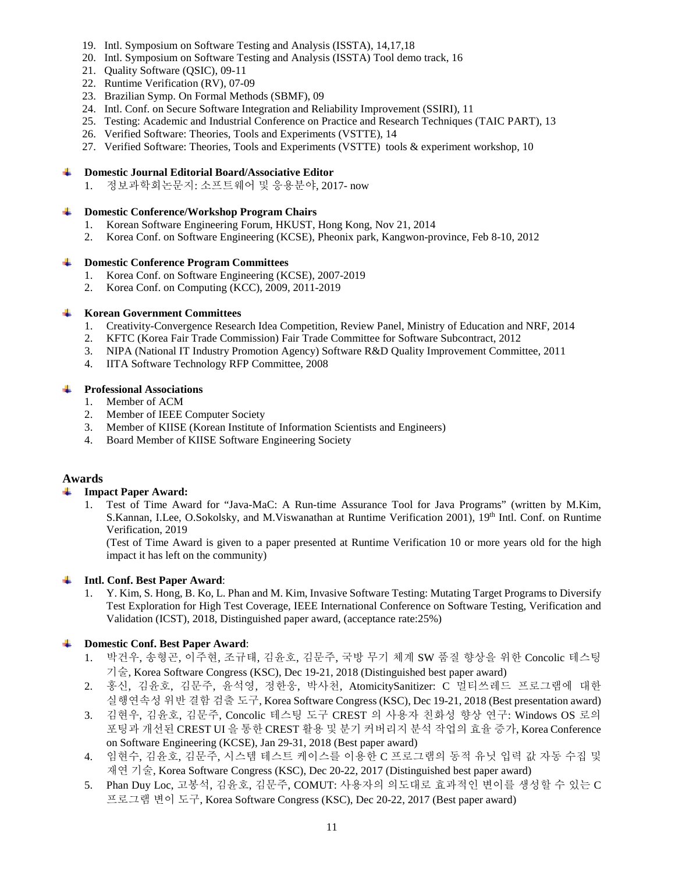- 19. Intl. Symposium on Software Testing and Analysis (ISSTA), 14,17,18
- 20. Intl. Symposium on Software Testing and Analysis (ISSTA) Tool demo track, 16
- 21. Quality Software (QSIC), 09-11
- 22. Runtime Verification (RV), 07-09
- 23. Brazilian Symp. On Formal Methods (SBMF), 09
- 24. Intl. Conf. on Secure Software Integration and Reliability Improvement (SSIRI), 11
- 25. Testing: Academic and Industrial Conference on Practice and Research Techniques (TAIC PART), 13
- 26. Verified Software: Theories, Tools and Experiments (VSTTE), 14
- 27. Verified Software: Theories, Tools and Experiments (VSTTE) tools & experiment workshop, 10

### **Domestic Journal Editorial Board/Associative Editor**

1. 정보과학회논문지: 소프트웨어 및 응용분야, 2017- now

#### **Domestic Conference/Workshop Program Chairs**  ÷.

- 1. Korean Software Engineering Forum, HKUST, Hong Kong, Nov 21, 2014
- 2. Korea Conf. on Software Engineering (KCSE), Pheonix park, Kangwon-province, Feb 8-10, 2012

#### **Domestic Conference Program Committees**

- 1. Korea Conf. on Software Engineering (KCSE), 2007-2019
- 2. Korea Conf. on Computing (KCC), 2009, 2011-2019

#### **Korean Government Committees**

- 1. Creativity-Convergence Research Idea Competition, Review Panel, Ministry of Education and NRF, 2014
- 2. KFTC (Korea Fair Trade Commission) Fair Trade Committee for Software Subcontract, 2012
- 3. NIPA (National IT Industry Promotion Agency) Software R&D Quality Improvement Committee, 2011
- 4. IITA Software Technology RFP Committee, 2008

#### **Professional Associations**

- 1. Member of ACM
- 2. Member of IEEE Computer Society
- 3. Member of KIISE (Korean Institute of Information Scientists and Engineers)
- 4. Board Member of KIISE Software Engineering Society

### **Awards**

#### 4 **Impact Paper Award:**

1. Test of Time Award for "Java-MaC: A Run-time Assurance Tool for Java Programs" (written by M.Kim, S.Kannan, I.Lee, O.Sokolsky, and M.Viswanathan at Runtime Verification 2001), 19th Intl. Conf. on Runtime Verification, 2019

(Test of Time Award is given to a paper presented at Runtime Verification 10 or more years old for the high impact it has left on the community)

#### **Intl. Conf. Best Paper Award**: - 1

1. Y. Kim, S. Hong, B. Ko, L. Phan and M. Kim, Invasive Software Testing: Mutating Target Programs to Diversify Test Exploration for High Test Coverage, IEEE International Conference on Software Testing, Verification and Validation (ICST), 2018, Distinguished paper award, (acceptance rate:25%)

#### 4 **Domestic Conf. Best Paper Award**:

- 1. 박건우, 송형곤, 이주현, 조규태, 김윤호, 김문주, 국방 무기 체계 SW 품질 향상을 위한 Concolic 테스팅 기술, Korea Software Congress (KSC), Dec 19-21, 2018 (Distinguished best paper award)
- 2. 홍신, 김윤호, 김문주, 윤석영, 정한웅, 박사천, AtomicitySanitizer: C 멀티쓰레드 프로그램에 대한 실행연속성 위반 결함 검출 도구, Korea Software Congress (KSC), Dec 19-21, 2018 (Best presentation award)
- 3. 김현우, 김윤호, 김문주, Concolic 테스팅 도구 CREST 의 사용자 친화성 향상 연구: Windows OS 로의 포팅과 개선된 CREST UI 을 통한 CREST 활용 및 분기 커버리지 분석 작업의 효율 증가, Korea Conference on Software Engineering (KCSE), Jan 29-31, 2018 (Best paper award)
- 4. 임현수, 김윤호, 김문주, 시스템 테스트 케이스를 이용한 C 프로그램의 동적 유닛 입력 값 자동 수집 및 재연 기술, Korea Software Congress (KSC), Dec 20-22, 2017 (Distinguished best paper award)
- 5. Phan Duy Loc, 고봉석, 김윤호, 김문주, COMUT: 사용자의 의도대로 효과적인 변이를 생성할 수 있는 C 프로그램 변이 도구, Korea Software Congress (KSC), Dec 20-22, 2017 (Best paper award)